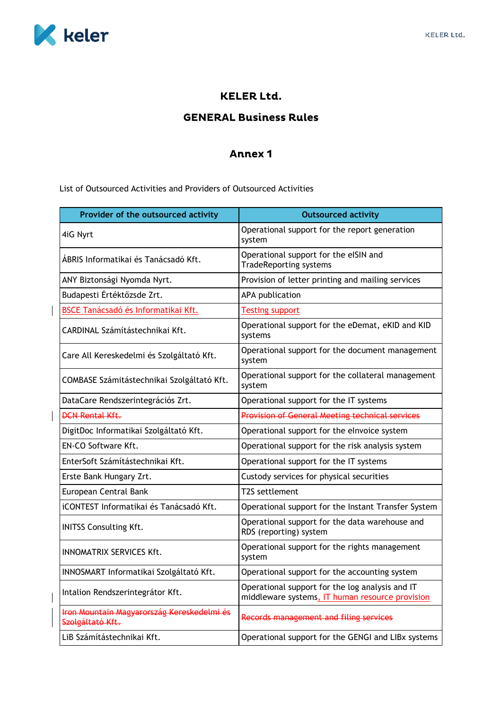

## **KELER Ltd.**

## **GENERAL Business Rules**

## Annex 1

List of Outsourced Activities and Providers of Outsourced Activities

|  | Provider of the outsourced activity                            | <b>Outsourced activity</b>                                                                         |
|--|----------------------------------------------------------------|----------------------------------------------------------------------------------------------------|
|  | 4iG Nyrt                                                       | Operational support for the report generation<br>system                                            |
|  | ÁBRIS Informatikai és Tanácsadó Kft.                           | Operational support for the eISIN and<br><b>TradeReporting systems</b>                             |
|  | ANY Biztonsági Nyomda Nyrt.                                    | Provision of letter printing and mailing services                                                  |
|  | Budapesti Értéktőzsde Zrt.                                     | APA publication                                                                                    |
|  | BSCE Tanácsadó és Informatikai Kft.                            | <b>Testing support</b>                                                                             |
|  | CARDINAL Számítástechnikai Kft.                                | Operational support for the eDemat, eKID and KID<br>systems                                        |
|  | Care All Kereskedelmi és Szolgáltató Kft.                      | Operational support for the document management<br>system                                          |
|  | COMBASE Számitástechnikai Szolgáltató Kft.                     | Operational support for the collateral management<br>system                                        |
|  | DataCare Rendszerintegrációs Zrt.                              | Operational support for the IT systems                                                             |
|  | <b>DCN Rental Kft.</b>                                         | <b>Provision of General Meeting technical services</b>                                             |
|  | DigitDoc Informatikai Szolgáltató Kft.                         | Operational support for the elnvoice system                                                        |
|  | EN-CO Software Kft.                                            | Operational support for the risk analysis system                                                   |
|  | EnterSoft Számítástechnikai Kft.                               | Operational support for the IT systems                                                             |
|  | Erste Bank Hungary Zrt.                                        | Custody services for physical securities                                                           |
|  | European Central Bank                                          | T2S settlement                                                                                     |
|  | iCONTEST Informatikai és Tanácsadó Kft.                        | Operational support for the Instant Transfer System                                                |
|  | <b>INITSS Consulting Kft.</b>                                  | Operational support for the data warehouse and<br>RDS (reporting) system                           |
|  | INNOMATRIX SERVICES Kft.                                       | Operational support for the rights management<br>system                                            |
|  | INNOSMART Informatikai Szolgáltató Kft.                        | Operational support for the accounting system                                                      |
|  | Intalion Rendszerintegrátor Kft.                               | Operational support for the log analysis and IT<br>middleware systems, IT human resource provision |
|  | Iron Mountain Magyarország Kereskedelmi és<br>Szolgáltató Kft. | Records management and filing services                                                             |
|  | LiB Számítástechnikai Kft.                                     | Operational support for the GENGI and LIBx systems                                                 |